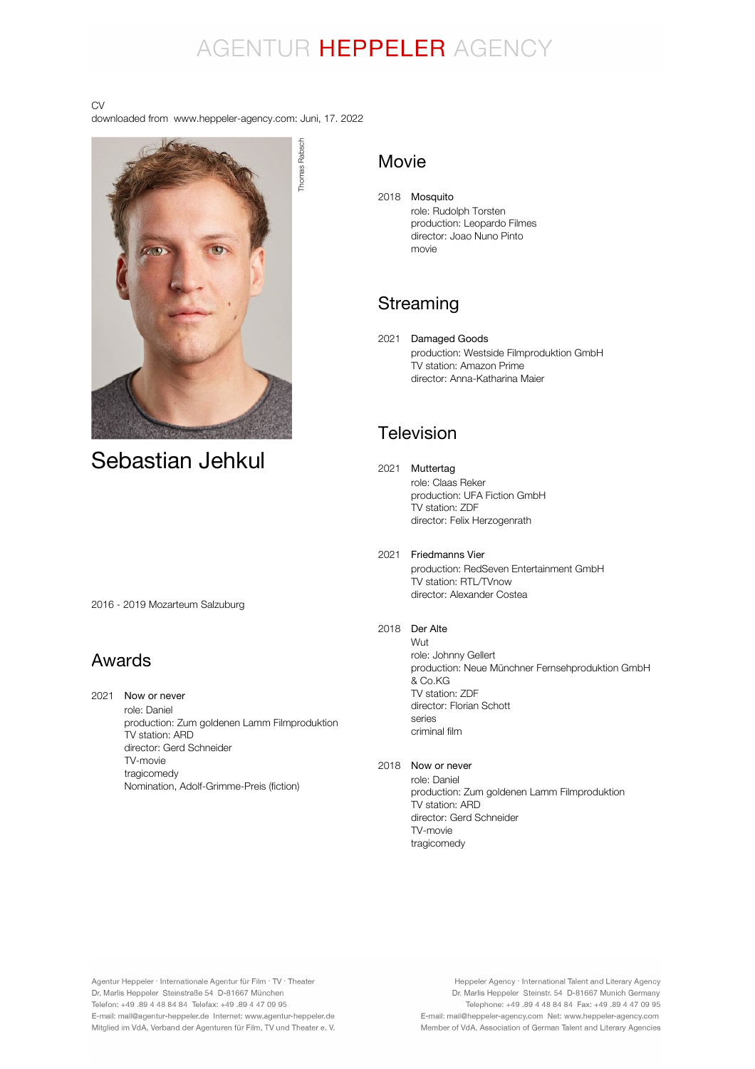## AGENTUR HEPPELER AGENCY

#### CV

downloaded from www.heppeler-agency.com: Juni, 17. 2022



Sebastian Jehkul

2016 - 2019 Mozarteum Salzuburg

#### Awards

2021 Now or never role: Daniel production: Zum goldenen Lamm Filmproduktion TV station: ARD director: Gerd Schneider TV-movie tragicomedy Nomination, Adolf-Grimme-Preis (fiction)

#### Movie

2018 Mosquito role: Rudolph Torsten production: Leopardo Filmes director: Joao Nuno Pinto movie

#### **Streaming**

2021 Damaged Goods production: Westside Filmproduktion GmbH TV station: Amazon Prime director: Anna-Katharina Maier

#### Television

2021 Muttertag

role: Claas Reker production: UFA Fiction GmbH TV station: ZDF director: Felix Herzogenrath

- 2021 Friedmanns Vier production: RedSeven Entertainment GmbH TV station: RTL/TVnow director: Alexander Costea
- 2018 Der Alte

Wut role: Johnny Gellert production: Neue Münchner Fernsehproduktion GmbH & Co.KG TV station: ZDF director: Florian Schott series criminal film

2018 Now or never

role: Daniel production: Zum goldenen Lamm Filmproduktion TV station: ARD director: Gerd Schneider TV-movie tragicomedy